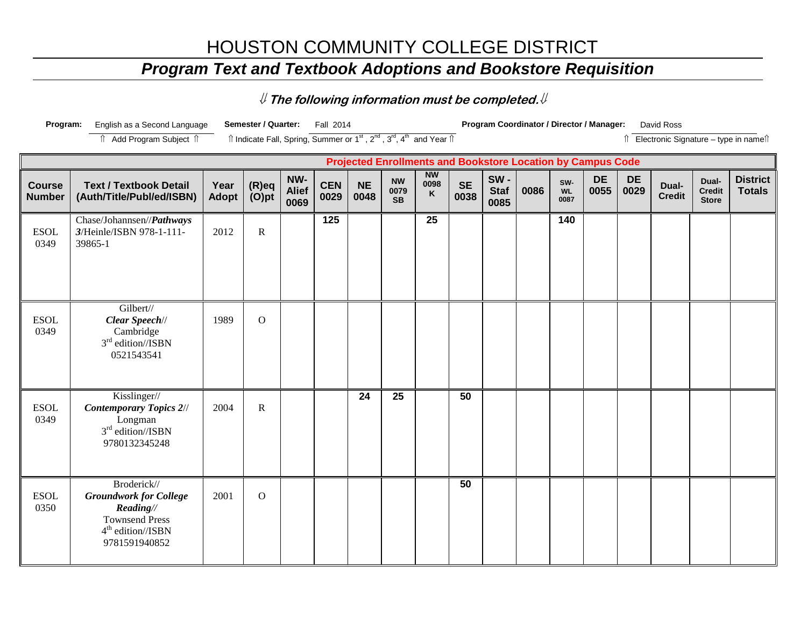## HOUSTON COMMUNITY COLLEGE DISTRICT

## *Program Text and Textbook Adoptions and Bookstore Requisition*

⇓ **The following information must be completed.**⇓

| Program:                       | English as a Second Language                                                                                                         |                      | Semester / Quarter:                                                                                                   |                             | Fall 2014          |                   |                                |                        |                   |                            | Program Coordinator / Director / Manager:                          |                          |                   |                   | David Ross             |                                        |                                          |
|--------------------------------|--------------------------------------------------------------------------------------------------------------------------------------|----------------------|-----------------------------------------------------------------------------------------------------------------------|-----------------------------|--------------------|-------------------|--------------------------------|------------------------|-------------------|----------------------------|--------------------------------------------------------------------|--------------------------|-------------------|-------------------|------------------------|----------------------------------------|------------------------------------------|
|                                | fî Add Program Subject fî                                                                                                            |                      | Îl Indicate Fall, Spring, Summer or 1 <sup>st</sup> , 2 <sup>nd</sup> , 3 <sup>rd</sup> , 4 <sup>th</sup> and Year Îl |                             |                    |                   |                                |                        |                   |                            |                                                                    |                          |                   |                   |                        |                                        | îl Electronic Signature - type in namelî |
|                                |                                                                                                                                      |                      |                                                                                                                       |                             |                    |                   |                                |                        |                   |                            | <b>Projected Enrollments and Bookstore Location by Campus Code</b> |                          |                   |                   |                        |                                        |                                          |
| <b>Course</b><br><b>Number</b> | <b>Text / Textbook Detail</b><br>(Auth/Title/Publ/ed/ISBN)                                                                           | Year<br><b>Adopt</b> | $(R)$ eq<br>(O)pt                                                                                                     | NW-<br><b>Alief</b><br>0069 | <b>CEN</b><br>0029 | <b>NE</b><br>0048 | <b>NW</b><br>0079<br><b>SB</b> | <b>NW</b><br>0098<br>K | <b>SE</b><br>0038 | SW-<br><b>Staf</b><br>0085 | 0086                                                               | SW-<br><b>WL</b><br>0087 | <b>DE</b><br>0055 | <b>DE</b><br>0029 | Dual-<br><b>Credit</b> | Dual-<br><b>Credit</b><br><b>Store</b> | <b>District</b><br><b>Totals</b>         |
| <b>ESOL</b><br>0349            | Chase/Johannsen//Pathways<br>3/Heinle/ISBN 978-1-111-<br>39865-1                                                                     | 2012                 | ${\bf R}$                                                                                                             |                             | 125                |                   |                                | 25                     |                   |                            |                                                                    | 140                      |                   |                   |                        |                                        |                                          |
| <b>ESOL</b><br>0349            | Gilbert//<br>Clear Speech//<br>Cambridge<br>3 <sup>rd</sup> edition//ISBN<br>0521543541                                              | 1989                 | $\mathbf O$                                                                                                           |                             |                    |                   |                                |                        |                   |                            |                                                                    |                          |                   |                   |                        |                                        |                                          |
| <b>ESOL</b><br>0349            | Kisslinger//<br><b>Contemporary Topics 2//</b><br>Longman<br>$3rd$ edition//ISBN<br>9780132345248                                    | 2004                 | $\mathbf R$                                                                                                           |                             |                    | 24                | 25                             |                        | 50                |                            |                                                                    |                          |                   |                   |                        |                                        |                                          |
| <b>ESOL</b><br>0350            | Broderick//<br><b>Groundwork for College</b><br>Reading//<br><b>Townsend Press</b><br>4 <sup>th</sup> edition//ISBN<br>9781591940852 | 2001                 | $\mathbf{O}$                                                                                                          |                             |                    |                   |                                |                        | 50                |                            |                                                                    |                          |                   |                   |                        |                                        |                                          |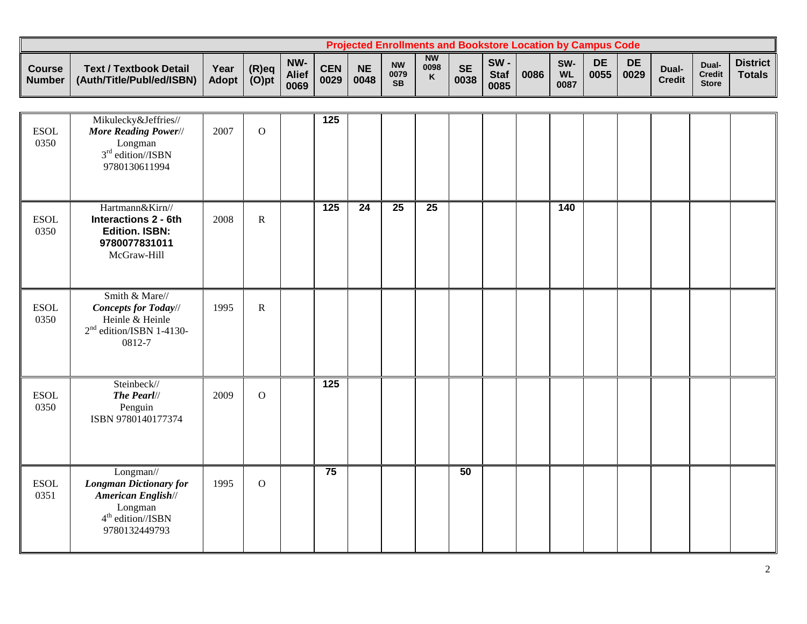|                                |                                                            |               |                      |                             |             |                   |                                |                        |                   |                               | <b>Projected Enrollments and Bookstore Location by Campus Code</b> |                          |            |                   |                        |                                        |                                  |
|--------------------------------|------------------------------------------------------------|---------------|----------------------|-----------------------------|-------------|-------------------|--------------------------------|------------------------|-------------------|-------------------------------|--------------------------------------------------------------------|--------------------------|------------|-------------------|------------------------|----------------------------------------|----------------------------------|
| <b>Course</b><br><b>Number</b> | <b>Text / Textbook Detail</b><br>(Auth/Title/Publ/ed/ISBN) | Year<br>Adopt | $(R)$ eq<br>$(O)$ pt | NW-<br><b>Alief</b><br>0069 | CEN<br>0029 | <b>NE</b><br>0048 | <b>NW</b><br>0079<br><b>SB</b> | <b>NW</b><br>0098<br>K | <b>SE</b><br>0038 | $SW -$<br><b>Staf</b><br>0085 | 0086                                                               | SW-<br><b>WL</b><br>0087 | DE<br>0055 | <b>DE</b><br>0029 | Dual-<br><b>Credit</b> | Dual-<br><b>Credit</b><br><b>Store</b> | <b>District</b><br><b>Totals</b> |

| <b>ESOL</b><br>0350 | Mikulecky&Jeffries//<br>More Reading Power//<br>Longman<br>$3rd$ edition//ISBN<br>9780130611994                     | 2007 | $\mathbf{O}$ | $\overline{125}$ |                 |                 |                 |    |  |                 |  |  |  |
|---------------------|---------------------------------------------------------------------------------------------------------------------|------|--------------|------------------|-----------------|-----------------|-----------------|----|--|-----------------|--|--|--|
| <b>ESOL</b><br>0350 | Hartmann&Kirn//<br><b>Interactions 2 - 6th</b><br><b>Edition. ISBN:</b><br>9780077831011<br>McGraw-Hill             | 2008 | $\mathbf R$  | $\overline{125}$ | $\overline{24}$ | $\overline{25}$ | $\overline{25}$ |    |  | $\frac{140}{ }$ |  |  |  |
| <b>ESOL</b><br>0350 | Smith & Mare//<br><b>Concepts for Today//</b><br>Heinle & Heinle<br>$2nd$ edition/ISBN 1-4130-<br>0812-7            | 1995 | $\mathbf R$  |                  |                 |                 |                 |    |  |                 |  |  |  |
| <b>ESOL</b><br>0350 | Steinbeck//<br>The Pearl//<br>Penguin<br>ISBN 9780140177374                                                         | 2009 | $\mathbf{O}$ | $\overline{125}$ |                 |                 |                 |    |  |                 |  |  |  |
| <b>ESOL</b><br>0351 | Longman//<br><b>Longman Dictionary for</b><br>American English//<br>Longman<br>$4th$ edition//ISBN<br>9780132449793 | 1995 | $\mathbf{O}$ | 75               |                 |                 |                 | 50 |  |                 |  |  |  |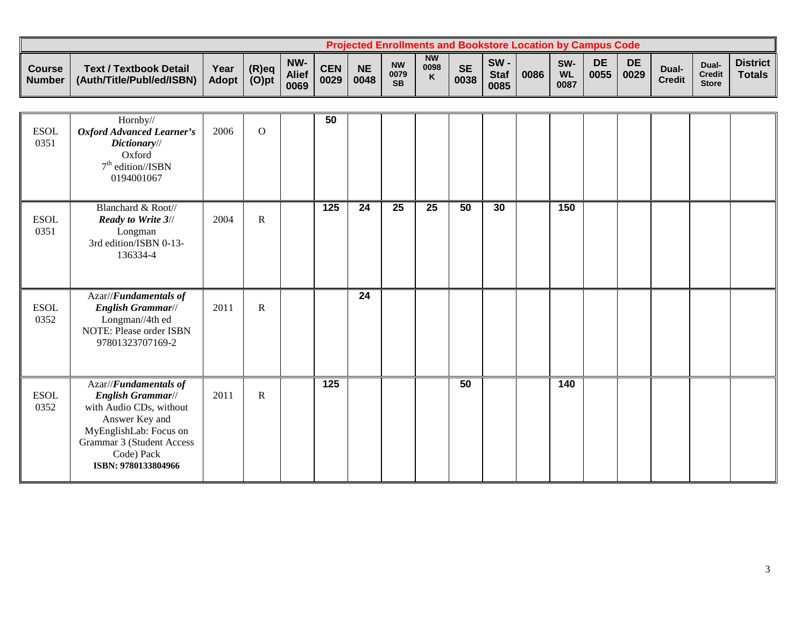|                                |                                                            |               |                   |                             |                    |                   | <b>Projected Enrollments and Bookstore Location by Campus Code</b> |                                   |                   |                               |      |                                      |            |                   |                        |                                 |                                  |
|--------------------------------|------------------------------------------------------------|---------------|-------------------|-----------------------------|--------------------|-------------------|--------------------------------------------------------------------|-----------------------------------|-------------------|-------------------------------|------|--------------------------------------|------------|-------------------|------------------------|---------------------------------|----------------------------------|
| <b>Course</b><br><b>Number</b> | <b>Text / Textbook Detail</b><br>(Auth/Title/Publ/ed/ISBN) | Year<br>Adopt | (R)eq<br>$(O)$ pt | NW-<br><b>Alief</b><br>0069 | <b>CEN</b><br>0029 | <b>NE</b><br>0048 | <b>NW</b><br>0079<br><b>SB</b>                                     | <b>NW</b><br>0098<br>$\mathbf{v}$ | <b>SE</b><br>0038 | $SW -$<br><b>Staf</b><br>0085 | 0086 | SW <sub>·</sub><br><b>WL</b><br>0087 | DE<br>0055 | <b>DE</b><br>0029 | Dual-<br><b>Credit</b> | Dual-<br>Credit<br><b>Store</b> | <b>District</b><br><b>Totals</b> |

| <b>ESOL</b><br>0351 | Hornby//<br><b>Oxford Advanced Learner's</b><br>Dictionary//<br>Oxford<br>$7th$ edition//ISBN<br>0194001067                                                                                | 2006 | $\overline{O}$ | 50               |                 |    |                 |    |    |     |  |  |  |
|---------------------|--------------------------------------------------------------------------------------------------------------------------------------------------------------------------------------------|------|----------------|------------------|-----------------|----|-----------------|----|----|-----|--|--|--|
| <b>ESOL</b><br>0351 | Blanchard & Root//<br><b>Ready to Write 3//</b><br>Longman<br>3rd edition/ISBN 0-13-<br>136334-4                                                                                           | 2004 | $\mathbf R$    | $\overline{125}$ | $\overline{24}$ | 25 | $\overline{25}$ | 50 | 30 | 150 |  |  |  |
| <b>ESOL</b><br>0352 | Azar//Fundamentals of<br>English Grammar//<br>Longman//4th ed<br>NOTE: Please order ISBN<br>97801323707169-2                                                                               | 2011 | ${\bf R}$      |                  | 24              |    |                 |    |    |     |  |  |  |
| <b>ESOL</b><br>0352 | Azar//Fundamentals of<br><b>English Grammar//</b><br>with Audio CDs, without<br>Answer Key and<br>MyEnglishLab: Focus on<br>Grammar 3 (Student Access<br>Code) Pack<br>ISBN: 9780133804966 | 2011 | $\mathbf R$    | 125              |                 |    |                 | 50 |    | 140 |  |  |  |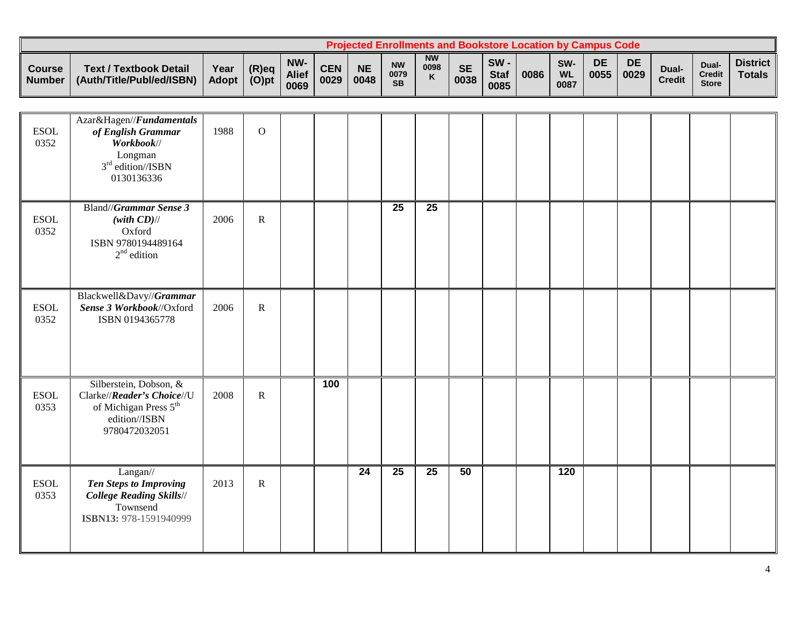|                                      |                                                            |                      |                      |                             |                    |                   | <b>Projected Enrollments and Bookstore Location by Campus Code</b> |                        |                   |                            |      |                          |            |            |                        |                                        |                                  |
|--------------------------------------|------------------------------------------------------------|----------------------|----------------------|-----------------------------|--------------------|-------------------|--------------------------------------------------------------------|------------------------|-------------------|----------------------------|------|--------------------------|------------|------------|------------------------|----------------------------------------|----------------------------------|
| <b>Course</b><br>Number <sup>1</sup> | <b>Text / Textbook Detail</b><br>(Auth/Title/Publ/ed/ISBN) | Year<br><b>Adopt</b> | $(R)$ eq<br>$(O)$ pt | NW-<br><b>Alief</b><br>0069 | <b>CEN</b><br>0029 | <b>NE</b><br>0048 | <b>NW</b><br>0079<br><b>SB</b>                                     | <b>NW</b><br>0098<br>K | <b>SE</b><br>0038 | SW-<br><b>Staf</b><br>0085 | 0086 | SW-<br><b>WL</b><br>0087 | DE<br>0055 | DE<br>0029 | Dual-<br><b>Credit</b> | Dual-<br><b>Credit</b><br><b>Store</b> | <b>District</b><br><b>Totals</b> |

| <b>ESOL</b><br>0352 | Azar&Hagen//Fundamentals<br>of English Grammar<br>Workbook//<br>Longman<br>$3rd$ edition//ISBN<br>0130136336                | 1988 | $\mathbf{O}$ |     |    |    |                 |    |  |                  |  |  |  |
|---------------------|-----------------------------------------------------------------------------------------------------------------------------|------|--------------|-----|----|----|-----------------|----|--|------------------|--|--|--|
| <b>ESOL</b><br>0352 | Bland//Grammar Sense 3<br>$(with CD)$ //<br>Oxford<br>ISBN 9780194489164<br>$2nd$ edition                                   | 2006 | $\mathbf R$  |     |    | 25 | $\overline{25}$ |    |  |                  |  |  |  |
| <b>ESOL</b><br>0352 | Blackwell&Davy//Grammar<br>Sense 3 Workbook//Oxford<br>ISBN 0194365778                                                      | 2006 | ${\bf R}$    |     |    |    |                 |    |  |                  |  |  |  |
| <b>ESOL</b><br>0353 | Silberstein, Dobson, &<br>Clarke//Reader's Choice//U<br>of Michigan Press 5 <sup>th</sup><br>edition//ISBN<br>9780472032051 | 2008 | $\mathbf R$  | 100 |    |    |                 |    |  |                  |  |  |  |
| <b>ESOL</b><br>0353 | Langan//<br><b>Ten Steps to Improving</b><br><b>College Reading Skills//</b><br>Townsend<br>ISBN13: 978-1591940999          | 2013 | $\mathbf R$  |     | 24 | 25 | 25              | 50 |  | $\overline{120}$ |  |  |  |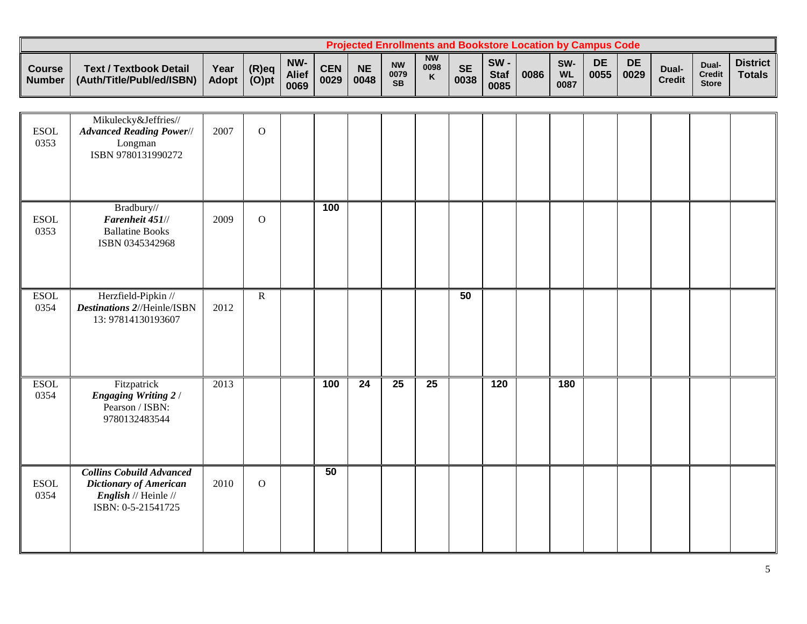|                                      |                                                            |                      |                      |                             |                    |                   | <b>Projected Enrollments and Bookstore Location by Campus Code</b> |                        |                   |                            |      |                          |            |            |                        |                                        |                                  |
|--------------------------------------|------------------------------------------------------------|----------------------|----------------------|-----------------------------|--------------------|-------------------|--------------------------------------------------------------------|------------------------|-------------------|----------------------------|------|--------------------------|------------|------------|------------------------|----------------------------------------|----------------------------------|
| <b>Course</b><br>Number <sup>1</sup> | <b>Text / Textbook Detail</b><br>(Auth/Title/Publ/ed/ISBN) | Year<br><b>Adopt</b> | $(R)$ eq<br>$(O)$ pt | NW-<br><b>Alief</b><br>0069 | <b>CEN</b><br>0029 | <b>NE</b><br>0048 | <b>NW</b><br>0079<br><b>SB</b>                                     | <b>NW</b><br>0098<br>K | <b>SE</b><br>0038 | SW-<br><b>Staf</b><br>0085 | 0086 | SW-<br><b>WL</b><br>0087 | DE<br>0055 | DE<br>0029 | Dual-<br><b>Credit</b> | Dual-<br><b>Credit</b><br><b>Store</b> | <b>District</b><br><b>Totals</b> |

| <b>ESOL</b><br>0353 | Mikulecky&Jeffries//<br><b>Advanced Reading Power//</b><br>Longman<br>ISBN 9780131990272                       | 2007 | $\mathbf{O}$   |     |                 |                 |                 |    |                  |     |  |  |  |
|---------------------|----------------------------------------------------------------------------------------------------------------|------|----------------|-----|-----------------|-----------------|-----------------|----|------------------|-----|--|--|--|
| <b>ESOL</b><br>0353 | Bradbury//<br>Farenheit 451//<br><b>Ballatine Books</b><br>ISBN 0345342968                                     | 2009 | $\mathbf{O}$   | 100 |                 |                 |                 |    |                  |     |  |  |  |
| <b>ESOL</b><br>0354 | Herzfield-Pipkin //<br><b>Destinations 2//Heinle/ISBN</b><br>13: 97814130193607                                | 2012 | $\overline{R}$ |     |                 |                 |                 | 50 |                  |     |  |  |  |
| <b>ESOL</b><br>0354 | Fitzpatrick<br><b>Engaging Writing 2/</b><br>Pearson / ISBN:<br>9780132483544                                  | 2013 |                | 100 | $\overline{24}$ | $\overline{25}$ | $\overline{25}$ |    | $\overline{120}$ | 180 |  |  |  |
| <b>ESOL</b><br>0354 | <b>Collins Cobuild Advanced</b><br>Dictionary of American<br><i>English</i> // Heinle //<br>ISBN: 0-5-21541725 | 2010 | $\mathbf O$    | 50  |                 |                 |                 |    |                  |     |  |  |  |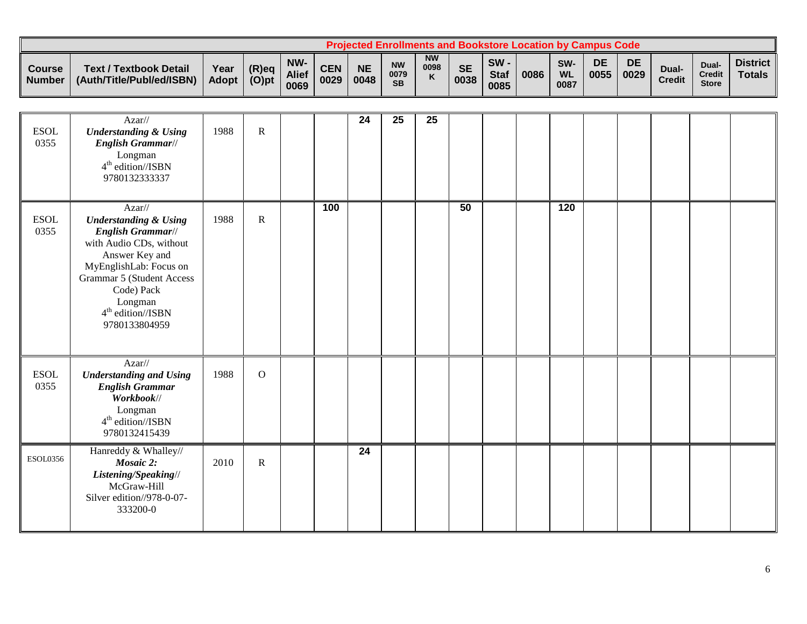|                  |                                                            |                      |                      |                             |                    |                   | <b>Projected Enrollments and Bookstore Location by Campus Code</b> |                                   |                   |                               |      |                                      |            |            |                        |                                       |                                  |
|------------------|------------------------------------------------------------|----------------------|----------------------|-----------------------------|--------------------|-------------------|--------------------------------------------------------------------|-----------------------------------|-------------------|-------------------------------|------|--------------------------------------|------------|------------|------------------------|---------------------------------------|----------------------------------|
| Course<br>Number | <b>Text / Textbook Detail</b><br>(Auth/Title/Publ/ed/ISBN) | Year<br><b>Adopt</b> | $(R)$ eq<br>$(O)$ pt | NW-<br><b>Alief</b><br>0069 | <b>CEN</b><br>0029 | <b>NE</b><br>0048 | <b>NW</b><br>0079<br><b>SB</b>                                     | <b>NW</b><br>0098<br>$\mathbf{z}$ | <b>SE</b><br>0038 | $SW -$<br><b>Staf</b><br>0085 | 0086 | SW <sub>·</sub><br><b>WL</b><br>0087 | DE<br>0055 | DE<br>0029 | Dual-<br><b>Credit</b> | <b>Dual</b><br>Credit<br><b>Store</b> | <b>District</b><br><b>Totals</b> |

|                     | Azar//                                                                                                                                                                                                                                  |      |              |     | 24 | 25 | 25 |    |  |     |  |  |  |
|---------------------|-----------------------------------------------------------------------------------------------------------------------------------------------------------------------------------------------------------------------------------------|------|--------------|-----|----|----|----|----|--|-----|--|--|--|
| <b>ESOL</b><br>0355 | <b>Understanding &amp; Using</b><br>English Grammar//<br>Longman<br>$4th$ edition//ISBN<br>9780132333337                                                                                                                                | 1988 | $\mathbf R$  |     |    |    |    |    |  |     |  |  |  |
| <b>ESOL</b><br>0355 | $Azar$ //<br><b>Understanding &amp; Using</b><br>English Grammar//<br>with Audio CDs, without<br>Answer Key and<br>MyEnglishLab: Focus on<br>Grammar 5 (Student Access<br>Code) Pack<br>Longman<br>$4th$ edition//ISBN<br>9780133804959 | 1988 | $\mathbf R$  | 100 |    |    |    | 50 |  | 120 |  |  |  |
| <b>ESOL</b><br>0355 | $Azar$ //<br><b>Understanding and Using</b><br><b>English Grammar</b><br>Workbook//<br>Longman<br>$4th$ edition//ISBN<br>9780132415439                                                                                                  | 1988 | $\mathbf{O}$ |     |    |    |    |    |  |     |  |  |  |
| <b>ESOL0356</b>     | Hanreddy & Whalley//<br>Mosaic 2:<br>Listening/Speaking//<br>McGraw-Hill<br>Silver edition//978-0-07-<br>333200-0                                                                                                                       | 2010 | $\mathbf R$  |     | 24 |    |    |    |  |     |  |  |  |